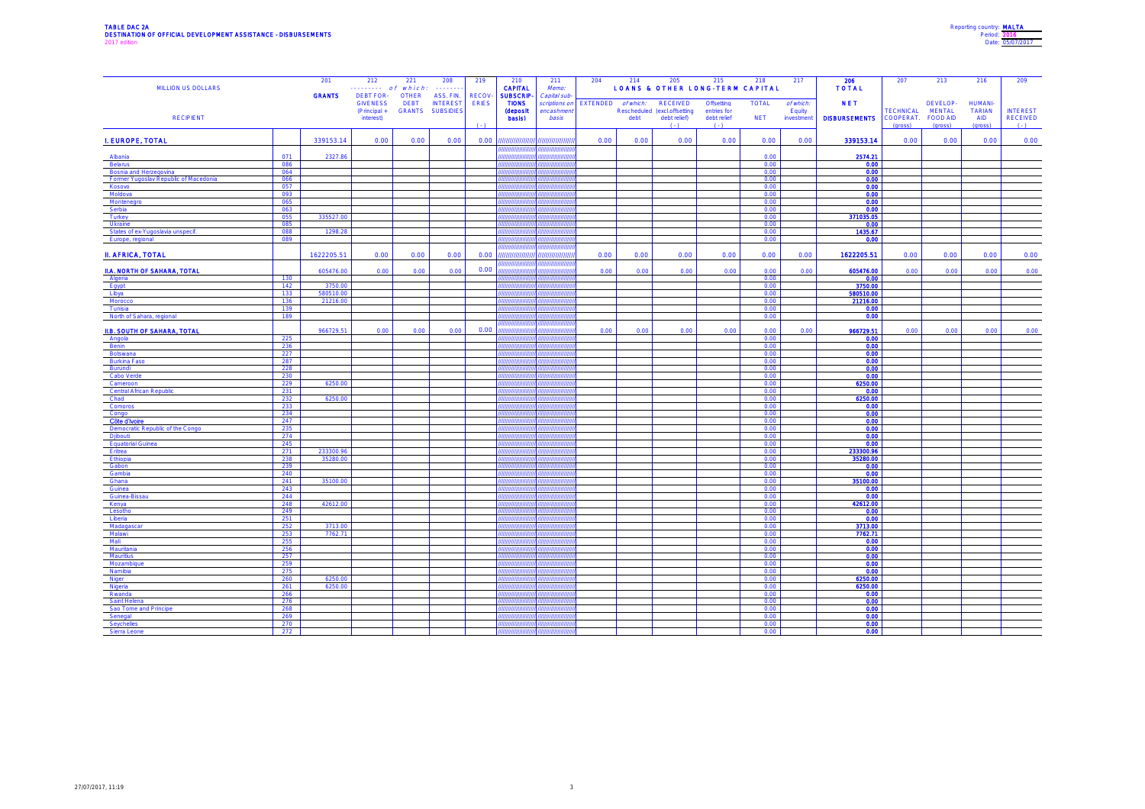| Reporting country: MALTA |              |                  |
|--------------------------|--------------|------------------|
|                          | Period: 2016 |                  |
|                          |              | Date: 05/07/2017 |

| MILLION US DOLLARS                                    |            | 201                  | 212<br>------- of which:        | 221         | 208<br>.                                   | 219          | 210<br><b>CAPITAL</b>                 | 211<br>Memo:                   | 204  |      | 214 205 215 218<br><b>LOANS &amp; OTHER LONG-TERM CAPITAL</b>                      |                        |                  | 217                 | 206<br><b>TOTAL</b>  | 207                | 213                       | 216                             | 209                |
|-------------------------------------------------------|------------|----------------------|---------------------------------|-------------|--------------------------------------------|--------------|---------------------------------------|--------------------------------|------|------|------------------------------------------------------------------------------------|------------------------|------------------|---------------------|----------------------|--------------------|---------------------------|---------------------------------|--------------------|
|                                                       |            | <b>GRANTS</b>        | DEBT FOR- OTHER ASS. FIN.       |             |                                            | RECOV-       | <b>SUBSCRIP</b>                       | Capital sub-                   |      |      |                                                                                    |                        |                  |                     |                      |                    |                           |                                 |                    |
|                                                       |            |                      | <b>GIVENESS</b><br>(Principal + | <b>DEBT</b> | <b>INTEREST</b><br><b>GRANTS SUBSIDIES</b> | <b>ERIES</b> | <b>TIONS</b><br><b>(deposit</b>       | scriptions on<br>encashment    |      |      | EXTENDED of which: RECEIVED Offsetting<br>Rescheduled (excl.offsetting entries for |                        | <b>TOTAL</b>     | of which:<br>Equity | <b>NET</b>           | <b>TECHNICAL</b>   | DEVELOP-<br><b>MENTAL</b> | <b>HUMANI-</b><br><b>TARIAN</b> | <b>INTEREST</b>    |
| <b>RECIPIENT</b>                                      |            |                      | interest)                       |             |                                            | (.1)         | basis)                                | basis                          |      |      | debt debt relief)<br>(1, 1)                                                        | debt relief<br>$( - )$ | <b>NET</b>       | investment          | <b>DISBURSEMENTS</b> | COOPERAT. FOOD AID |                           | <b>AID</b>                      | RECEIVED<br>(1, 3) |
|                                                       |            |                      |                                 |             |                                            |              |                                       |                                |      |      |                                                                                    |                        |                  |                     |                      | (gross)            | (gross)                   | (gross)                         |                    |
| I. EUROPE, TOTAL                                      |            | 339153.14            | 0.00                            | 0.00        | 0.00                                       | 0.00         | ,,,,,,,,,,,,,,,,,,                    | ,,,,,,,,,,,,,,,<br>,,,,,,,,,,, | 0.00 | 0.00 | 0.00                                                                               | 0.00                   | 0.00             | 0.00                | 339153.14            | 0.00               | 0.00                      | 0.00                            | 0.00               |
| Albania                                               | 071        | 2327.86              |                                 |             |                                            |              | ,,,,,,,,,,,,,,,,<br>,,,,,,,,,,,,,,,,, | ,,,,,,,,,,,,,                  |      |      |                                                                                    |                        | 0.00             |                     | 2574.21              |                    |                           |                                 |                    |
| Belarus<br>Bosnia and Herzegovina                     | 086<br>064 |                      |                                 |             |                                            |              | ,,,,,,,,,,,,<br>,,,,,,,,,,,,,         |                                |      |      |                                                                                    |                        | 0.00<br>0.00     |                     | 0.00<br>0.00         |                    |                           |                                 |                    |
| Former Yugoslav Republic of Macedonia                 | 066        |                      |                                 |             |                                            |              |                                       |                                |      |      |                                                                                    |                        | 0.00             |                     | 0.00                 |                    |                           |                                 |                    |
| Kosovo<br>Moldova                                     | 057<br>093 |                      |                                 |             |                                            |              | ,,,,,,,,,,                            |                                |      |      |                                                                                    |                        | 0.00<br>0.00     |                     | 0.00<br>0.00         |                    |                           |                                 |                    |
| Montenegro                                            | 065        |                      |                                 |             |                                            |              |                                       |                                |      |      |                                                                                    |                        | 0.00             |                     | 0.00                 |                    |                           |                                 |                    |
| Serbia<br>Turkey                                      | 063<br>055 | 335527.00            |                                 |             |                                            |              | ,,,,,,,,,                             |                                |      |      |                                                                                    |                        | 0.00<br>0.00     |                     | 0.00<br>371035.05    |                    |                           |                                 |                    |
| Ukraine                                               | 085        |                      |                                 |             |                                            |              | ,,,,,,,,,,                            |                                |      |      |                                                                                    |                        | 0.00             |                     | 0.00                 |                    |                           |                                 |                    |
| States of ex-Yugoslavia unspecif.<br>Europe, regional | 088<br>089 | 1298.28              |                                 |             |                                            |              | ,,,,,,,,,,                            |                                |      |      |                                                                                    |                        | 0.00<br>0.00     |                     | 1435.67<br>0.00      |                    |                           |                                 |                    |
|                                                       |            |                      |                                 |             |                                            |              | ,,,,,,,,,,,,,,,,                      |                                |      |      |                                                                                    |                        |                  |                     |                      |                    |                           |                                 |                    |
| <b>II. AFRICA, TOTAL</b>                              |            | 1622205.51           | 0.00                            | 0.00        | 0.00                                       | 0.00         | ,,,,,,,,,,,,,,,,,,                    | ,,,,,,,,,,,,,,,,               | 0.00 | 0.00 | 0.00                                                                               | 0.00                   | 0.00             | 0.00                | 1622205.51           | 0.00               | 0.00                      | 0.00                            | 0.00               |
| II.A. NORTH OF SAHARA, TOTAL                          |            | 605476.00            | 0.00                            | 0.00        | 0.00                                       | 0.00         | ,,,,,,,,,,,,,,                        |                                | 0.00 | 0.00 | 0.00                                                                               | 0.00                   | 0.00             | 0.00                | 605476.00            | 0.00               | 0.00                      | 0.00                            | 0.00               |
| Algeria                                               | 130        |                      |                                 |             |                                            |              |                                       |                                |      |      |                                                                                    |                        | 0.00             |                     | 0.00                 |                    |                           |                                 |                    |
| Egypt<br>Libya                                        | 142<br>133 | 3750.00<br>580510.00 |                                 |             |                                            |              |                                       |                                |      |      |                                                                                    |                        | 0.00<br>0.00     |                     | 3750.00<br>580510.00 |                    |                           |                                 |                    |
| Morocco                                               | 136        | 21216.00             |                                 |             |                                            |              |                                       |                                |      |      |                                                                                    |                        | 0.00             |                     | 21216.00             |                    |                           |                                 |                    |
| Tunisia<br>North of Sahara, regional                  | 139<br>189 |                      |                                 |             |                                            |              |                                       |                                |      |      |                                                                                    |                        | 0.00<br>$0.00 -$ |                     | 0.00<br>0.00         |                    |                           |                                 |                    |
|                                                       |            |                      |                                 |             |                                            |              |                                       |                                |      |      |                                                                                    |                        |                  |                     |                      |                    |                           |                                 |                    |
| <b>II.B. SOUTH OF SAHARA, TOTAL</b><br>Angola         | 225        | 966729.51            | 0.00                            | 0.00        | 0.00                                       | 0.00         | ,,,,,,,,,,,,,,                        |                                | 0.00 | 0.00 | 0.00                                                                               | 0.00                   | 0.00<br>0.00     | 0.00                | 966729.51<br>0.00    | 0.00               | 0.00                      | 0.00                            | 0.00               |
| Benin                                                 | 236        |                      |                                 |             |                                            |              |                                       |                                |      |      |                                                                                    |                        | 0.00             |                     | 0.00                 |                    |                           |                                 |                    |
| Botswana<br><b>Burkina Faso</b>                       | 227<br>287 |                      |                                 |             |                                            |              |                                       |                                |      |      |                                                                                    |                        | 0.00<br>0.00     |                     | 0.00<br>0.00         |                    |                           |                                 |                    |
| Burundi                                               | 228        |                      |                                 |             |                                            |              |                                       |                                |      |      |                                                                                    |                        | 0.00             |                     | 0.00                 |                    |                           |                                 |                    |
| Cabo Verde<br>Cameroon                                | 230<br>229 | 6250.00              |                                 |             |                                            |              |                                       |                                |      |      |                                                                                    |                        | 0.00<br>0.00     |                     | 0.00<br>6250.00      |                    |                           |                                 |                    |
| Central African Republic                              | 231        |                      |                                 |             |                                            |              |                                       |                                |      |      |                                                                                    |                        | 0.00             |                     | 0.00                 |                    |                           |                                 |                    |
| Chad<br>Comoros                                       | 232<br>233 | 6250.00              |                                 |             |                                            |              |                                       |                                |      |      |                                                                                    |                        | 0.00<br>0.00     |                     | 6250.00<br>0.00      |                    |                           |                                 |                    |
| Congo                                                 | 234        |                      |                                 |             |                                            |              |                                       |                                |      |      |                                                                                    |                        | 0.00             |                     | 0.00                 |                    |                           |                                 |                    |
| Côte d'Ivoire<br>Democratic Republic of the Congo     | 247<br>235 |                      |                                 |             |                                            |              |                                       |                                |      |      |                                                                                    |                        | 0.00<br>0.00     |                     | 0.00<br>0.00         |                    |                           |                                 |                    |
| Djibouti                                              | 274        |                      |                                 |             |                                            |              |                                       |                                |      |      |                                                                                    |                        | 0.00             |                     | 0.00                 |                    |                           |                                 |                    |
| <b>Equatorial Guinea</b><br>Eritrea                   | 245<br>271 | 233300.96            |                                 |             |                                            |              |                                       |                                |      |      |                                                                                    |                        | 0.00<br>0.00     |                     | 0.00<br>233300.96    |                    |                           |                                 |                    |
| Ethiopia                                              | 238        | 35280.00             |                                 |             |                                            |              |                                       |                                |      |      |                                                                                    |                        | 0.00             |                     | 35280.00             |                    |                           |                                 |                    |
| Gabon<br>Gambia                                       | 239<br>240 |                      |                                 |             |                                            |              |                                       |                                |      |      |                                                                                    |                        | 0.00<br>0.00     |                     | 0.00<br>0.00         |                    |                           |                                 |                    |
| Ghana                                                 | 241        | 35100.00             |                                 |             |                                            |              |                                       |                                |      |      |                                                                                    |                        | 0.00             |                     | 35100.00             |                    |                           |                                 |                    |
| Guinea<br>Guinea-Bissau                               | 243<br>244 |                      |                                 |             |                                            |              |                                       |                                |      |      |                                                                                    |                        | 0.00<br>0.00     |                     | 0.00<br>0.00         |                    |                           |                                 |                    |
| Kenya                                                 | 248        | 42612.00             |                                 |             |                                            |              |                                       |                                |      |      |                                                                                    |                        | 0.00             |                     | 42612.00             |                    |                           |                                 |                    |
| Lesotho<br>Liberia                                    | 249<br>251 |                      |                                 |             |                                            |              |                                       |                                |      |      |                                                                                    |                        | 0.00<br>0.00     |                     | 0.00<br>0.00         |                    |                           |                                 |                    |
| Madagasca                                             | 252        | 3713.00              |                                 |             |                                            |              |                                       |                                |      |      |                                                                                    |                        | 0.00             |                     | 3713.00              |                    |                           |                                 |                    |
| Malawi<br>Mali                                        | 253<br>255 | 7762.71              |                                 |             |                                            |              |                                       |                                |      |      |                                                                                    |                        | 0.00<br>0.00     |                     | 7762.71<br>0.00      |                    |                           |                                 |                    |
| Mauritania                                            | 256        |                      |                                 |             |                                            |              |                                       |                                |      |      |                                                                                    |                        | 0.00             |                     | 0.00                 |                    |                           |                                 |                    |
| Mauritius<br>Mozambique                               | 257<br>259 |                      |                                 |             |                                            |              |                                       |                                |      |      |                                                                                    |                        | 0.00<br>0.00     |                     | 0.00<br>0.00         |                    |                           |                                 |                    |
| Namibia                                               | 275        |                      |                                 |             |                                            |              |                                       |                                |      |      |                                                                                    |                        | 0.00             |                     | 0.00                 |                    |                           |                                 |                    |
| Niger                                                 | 260        | 6250.00<br>6250.00   |                                 |             |                                            |              |                                       |                                |      |      |                                                                                    |                        | 0.00<br>0.00     |                     | 6250.00<br>6250.00   |                    |                           |                                 |                    |
| Nigeria<br>Rwanda                                     | 261<br>266 |                      |                                 |             |                                            |              |                                       |                                |      |      |                                                                                    |                        | 0.00             |                     | 0.00                 |                    |                           |                                 |                    |
| Saint Helena<br>Sao Tome and Principe                 | 276<br>268 |                      |                                 |             |                                            |              |                                       |                                |      |      |                                                                                    |                        | 0.00<br>0.00     |                     | 0.00<br>0.00         |                    |                           |                                 |                    |
| Senegal                                               | 269        |                      |                                 |             |                                            |              |                                       |                                |      |      |                                                                                    |                        | 0.00             |                     | 0.00                 |                    |                           |                                 |                    |
| Seychelles<br>Sierra Leone                            | 270<br>272 |                      |                                 |             |                                            |              |                                       |                                |      |      |                                                                                    |                        | 0.00<br>0.00     |                     | 0.00<br>0.00         |                    |                           |                                 |                    |
|                                                       |            |                      |                                 |             |                                            |              |                                       |                                |      |      |                                                                                    |                        |                  |                     |                      |                    |                           |                                 |                    |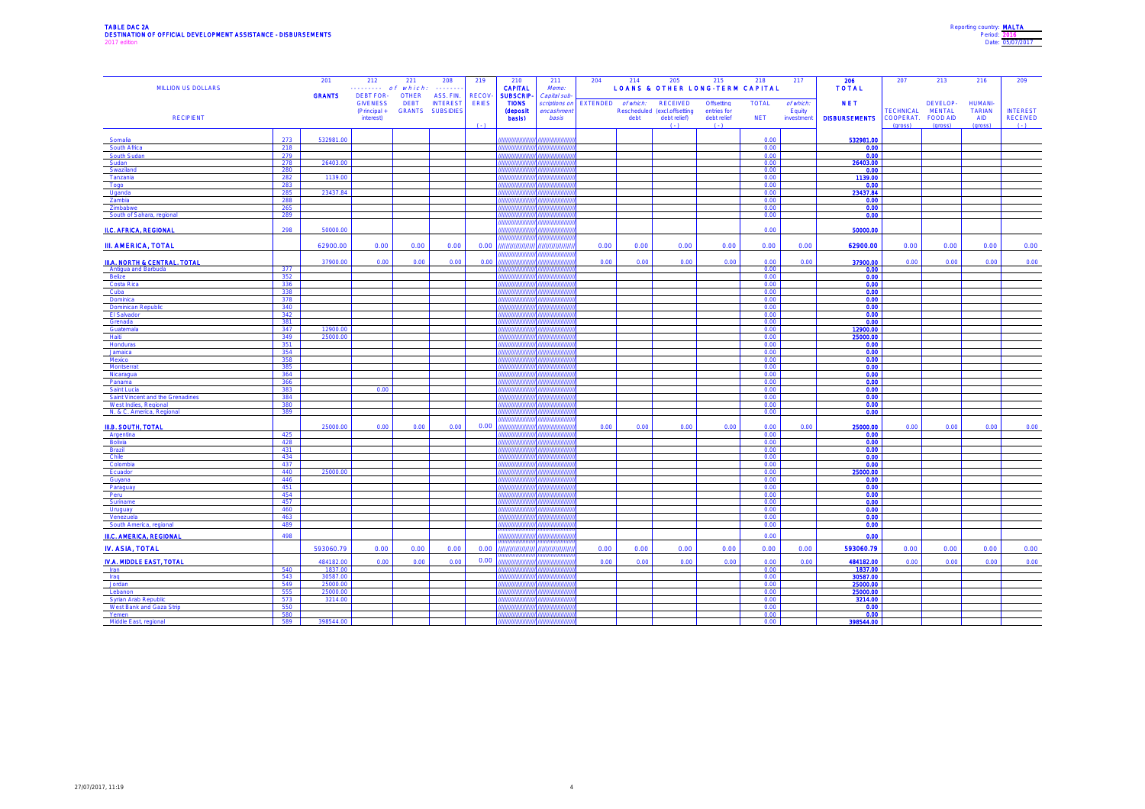| Reporting country: MALTA |                  |
|--------------------------|------------------|
|                          | Period: 2016     |
|                          | Date: 05/07/2017 |
|                          |                  |

| MILLION US DOLLARS                                      |            | 201<br><b>GRANTS</b> | 212<br>$\cdots \cdots$ of which:<br>DEBT FOR- | 221<br><b>OTHER</b> | 208<br>.<br>ASS. FIN.                      | 219<br><b>RECOV</b> | 210<br><b>CAPITAL</b><br><b>SUBSCRIP</b>  | 211<br>Memo:<br>Capital sub          | 204                | 214  | 205                                                                        | 215<br><b>LOANS &amp; OTHER LONG-TERM CAPITAL</b> | 218                        | 217                              | 206<br><b>TOTAL</b>                | 207                                      | 213                                                     | 216                                              | 209                                         |
|---------------------------------------------------------|------------|----------------------|-----------------------------------------------|---------------------|--------------------------------------------|---------------------|-------------------------------------------|--------------------------------------|--------------------|------|----------------------------------------------------------------------------|---------------------------------------------------|----------------------------|----------------------------------|------------------------------------|------------------------------------------|---------------------------------------------------------|--------------------------------------------------|---------------------------------------------|
| <b>RECIPIENT</b>                                        |            |                      | <b>GIVENESS</b><br>(Principal +<br>interest)  | <b>DEBT</b>         | <b>INTEREST</b><br><b>GRANTS SUBSIDIES</b> | <b>ERIES</b>        | <b>TIONS</b><br><b>(deposit</b><br>basis) | scriptions on<br>encashmeni<br>basis | EXTENDED of which: | debt | <b>RECEIVED</b><br>Rescheduled (excl.offsetting<br>debt relief)<br>$( - )$ | Offsetting<br>entries for<br>debt relief<br>$(-)$ | <b>TOTAL</b><br><b>NET</b> | of which.<br>Equity<br>investmen | <b>NET</b><br><b>DISBURSEMENTS</b> | <b>TECHNICAL</b><br>COOPERAT.<br>(gross) | DEVELOP-<br><b>MENTAL</b><br><b>FOOD AID</b><br>(gross) | <b>HUMANI</b><br><b>TARIAN</b><br>AID<br>(gross) | <b>INTEREST</b><br><b>RECEIVED</b><br>$(-)$ |
| Somalia                                                 | 273        | 532981.00            |                                               |                     |                                            |                     | ,,,,,,,,,,,,,,                            |                                      |                    |      |                                                                            |                                                   | 0.00                       |                                  | 532981.00                          |                                          |                                                         |                                                  |                                             |
| South Africa                                            | 218        |                      |                                               |                     |                                            |                     |                                           |                                      |                    |      |                                                                            |                                                   | 0.00                       |                                  | 0.00                               |                                          |                                                         |                                                  |                                             |
| South Sudar                                             | 279        |                      |                                               |                     |                                            |                     |                                           |                                      |                    |      |                                                                            |                                                   | 0.00                       |                                  | 0.00                               |                                          |                                                         |                                                  |                                             |
| Sudan<br>Swaziland                                      | 278<br>280 | 26403.0              |                                               |                     |                                            |                     |                                           |                                      |                    |      |                                                                            |                                                   | 0.00<br>0.00               |                                  | 26403.00<br>0.00                   |                                          |                                                         |                                                  |                                             |
| Tanzania                                                | 282        | 1139.00              |                                               |                     |                                            |                     |                                           |                                      |                    |      |                                                                            |                                                   | 0.00                       |                                  | 1139.00                            |                                          |                                                         |                                                  |                                             |
| Togo                                                    | 283        |                      |                                               |                     |                                            |                     |                                           |                                      |                    |      |                                                                            |                                                   | 0.00                       |                                  | 0.00                               |                                          |                                                         |                                                  |                                             |
| Uqanda                                                  | 285        | 23437.84             |                                               |                     |                                            |                     |                                           |                                      |                    |      |                                                                            |                                                   | 0.00                       |                                  | 23437.84                           |                                          |                                                         |                                                  |                                             |
| Zambia<br>Zimbabwe                                      | 288<br>265 |                      |                                               |                     |                                            |                     |                                           |                                      |                    |      |                                                                            |                                                   | 0.00<br>0.00               |                                  | 0.00<br>0.00                       |                                          |                                                         |                                                  |                                             |
| South of Sahara, regional                               | 289        |                      |                                               |                     |                                            |                     |                                           |                                      |                    |      |                                                                            |                                                   | 0.00                       |                                  | 0.00                               |                                          |                                                         |                                                  |                                             |
| <b>II.C. AFRICA, REGIONAL</b>                           | 298        | 50000.00             |                                               |                     |                                            |                     | ,,,,,,,,,,,,,,,                           |                                      |                    |      |                                                                            |                                                   | 0.00                       |                                  | 50000.00                           |                                          |                                                         |                                                  |                                             |
| <b>III. AMERICA, TOTAL</b>                              |            | 62900.00             | 0.00                                          | 0.00                | 0.00                                       | 0.00                | ,,,,,,,,,,,,,,,,,                         | ,,,,,,,,,,,,,,,                      | 0.00               | 0.00 | 0.00                                                                       | 0.00                                              | 0.00                       | 0.00                             | 62900.00                           | 0.00                                     | 0.00                                                    | 0.00                                             | 0.00                                        |
| <b>III.A. NORTH &amp; CENTRAL, TOTAL</b>                |            | 37900.00             | 0.00                                          | 0.00                | 0.00                                       | 0.00                |                                           |                                      | 0.00               | 0.00 | 0.00                                                                       | 0.00                                              | 0.00                       | 0.00                             | 37900.00                           | 0.00                                     | 0.00                                                    | 0.00                                             | 0.00                                        |
| Antiqua and Barbuda                                     | 377        |                      |                                               |                     |                                            |                     | ,,,,,,,,,,,,,,,,,                         | ,,,,,,,,,,,,                         |                    |      |                                                                            |                                                   | 0.00                       |                                  | 0.00                               |                                          |                                                         |                                                  |                                             |
| Belize<br>Costa Rica                                    | 352<br>336 |                      |                                               |                     |                                            |                     |                                           |                                      |                    |      |                                                                            |                                                   | 0.00<br>0.00               |                                  | 0.00<br>0.00                       |                                          |                                                         |                                                  |                                             |
| Cuba                                                    | 338        |                      |                                               |                     |                                            |                     |                                           |                                      |                    |      |                                                                            |                                                   | 0.00                       |                                  | 0.00                               |                                          |                                                         |                                                  |                                             |
| Dominica                                                | 378        |                      |                                               |                     |                                            |                     |                                           |                                      |                    |      |                                                                            |                                                   | 0.00                       |                                  | 0.00                               |                                          |                                                         |                                                  |                                             |
| <b>Dominican Republic</b><br>El Salvador                | 340<br>342 |                      |                                               |                     |                                            |                     |                                           |                                      |                    |      |                                                                            |                                                   | 0.00<br>0.00               |                                  | 0.00                               |                                          |                                                         |                                                  |                                             |
| Grenada                                                 | 381        |                      |                                               |                     |                                            |                     |                                           |                                      |                    |      |                                                                            |                                                   | 0.00                       |                                  | 0.00<br>0.00                       |                                          |                                                         |                                                  |                                             |
| Guatemala                                               | 347        | 12900.00             |                                               |                     |                                            |                     |                                           |                                      |                    |      |                                                                            |                                                   | 0.00                       |                                  | 12900.00                           |                                          |                                                         |                                                  |                                             |
| Haiti                                                   | 349        | 25000.00             |                                               |                     |                                            |                     |                                           |                                      |                    |      |                                                                            |                                                   | 0.00                       |                                  | 25000.00                           |                                          |                                                         |                                                  |                                             |
| Honduras                                                | 351        |                      |                                               |                     |                                            |                     |                                           |                                      |                    |      |                                                                            |                                                   | 0.00                       |                                  | 0.00                               |                                          |                                                         |                                                  |                                             |
| Jamaica<br>Mexico                                       | 354<br>358 |                      |                                               |                     |                                            |                     |                                           |                                      |                    |      |                                                                            |                                                   | 0.00<br>0.00               |                                  | 0.00<br>0.00                       |                                          |                                                         |                                                  |                                             |
| Montserra                                               | 385        |                      |                                               |                     |                                            |                     |                                           |                                      |                    |      |                                                                            |                                                   | 0.00                       |                                  | 0.00                               |                                          |                                                         |                                                  |                                             |
| Nicaragua                                               | 364        |                      |                                               |                     |                                            |                     |                                           |                                      |                    |      |                                                                            |                                                   | 0.00                       |                                  | 0.00                               |                                          |                                                         |                                                  |                                             |
| Panama                                                  | 366        |                      | 0.00                                          |                     |                                            |                     |                                           |                                      |                    |      |                                                                            |                                                   | 0.00<br>0.00               |                                  | 0.00<br>0.00 <sub>1</sub>          |                                          |                                                         |                                                  |                                             |
| Saint Lucia<br>Saint Vincent and the Grenadines         | 383<br>384 |                      |                                               |                     |                                            |                     |                                           |                                      |                    |      |                                                                            |                                                   | 0.00                       |                                  | 0.00                               |                                          |                                                         |                                                  |                                             |
| West Indies, Regional                                   | 380        |                      |                                               |                     |                                            |                     |                                           |                                      |                    |      |                                                                            |                                                   | 0.00                       |                                  | 0.00                               |                                          |                                                         |                                                  |                                             |
| N. & C. America, Regional                               | 389        |                      |                                               |                     |                                            |                     |                                           |                                      |                    |      |                                                                            |                                                   | 0.00                       |                                  | 0.00                               |                                          |                                                         |                                                  |                                             |
| III.B. SOUTH, TOTAL                                     |            | 25000.00             | 0.00                                          | 0.00                | 0.00                                       | 0.00                |                                           |                                      | 0.00               | 0.00 | 0.00                                                                       | 0.00                                              | 0.00                       | 0.00                             | 25000.00                           | 0.00                                     | 0.00                                                    | 0.00                                             | 0.00                                        |
| Argentina                                               | 425        |                      |                                               |                     |                                            |                     |                                           |                                      |                    |      |                                                                            |                                                   | 0.00                       |                                  | 0.00                               |                                          |                                                         |                                                  |                                             |
| Bolivia                                                 | 428        |                      |                                               |                     |                                            |                     |                                           |                                      |                    |      |                                                                            |                                                   | 0.00                       |                                  | 0.00                               |                                          |                                                         |                                                  |                                             |
| Brazil                                                  | 431        |                      |                                               |                     |                                            |                     | ,,,,,,,,,,,,                              |                                      |                    |      |                                                                            |                                                   | 0.00                       |                                  | 0.00                               |                                          |                                                         |                                                  |                                             |
| Chile<br>Colombia                                       | 434<br>437 |                      |                                               |                     |                                            |                     |                                           |                                      |                    |      |                                                                            |                                                   | 0.00<br>0.00               |                                  | 0.00<br>0.00                       |                                          |                                                         |                                                  |                                             |
| Ecuador                                                 | 440        | 25000.00             |                                               |                     |                                            |                     |                                           |                                      |                    |      |                                                                            |                                                   | 0.00                       |                                  | 25000.00                           |                                          |                                                         |                                                  |                                             |
| Guyana                                                  | 446        |                      |                                               |                     |                                            |                     |                                           |                                      |                    |      |                                                                            |                                                   | 0.00                       |                                  | 0.00                               |                                          |                                                         |                                                  |                                             |
| Paraguay<br>Peru                                        | 451<br>454 |                      |                                               |                     |                                            |                     |                                           |                                      |                    |      |                                                                            |                                                   | 0.00<br>0.00               |                                  | 0.00<br>0.00                       |                                          |                                                         |                                                  |                                             |
| Suriname                                                | 457        |                      |                                               |                     |                                            |                     |                                           |                                      |                    |      |                                                                            |                                                   | 0.00                       |                                  | 0.00                               |                                          |                                                         |                                                  |                                             |
| Uruguay                                                 | 460        |                      |                                               |                     |                                            |                     |                                           |                                      |                    |      |                                                                            |                                                   | 0.00                       |                                  | 0.00                               |                                          |                                                         |                                                  |                                             |
| Venezuela                                               | 463        |                      |                                               |                     |                                            |                     | unnu                                      |                                      |                    |      |                                                                            |                                                   | 0.00                       |                                  | 0.00                               |                                          |                                                         |                                                  |                                             |
| South America, regional                                 | 489        |                      |                                               |                     |                                            |                     |                                           |                                      |                    |      |                                                                            |                                                   | 0.00                       |                                  | 0.00                               |                                          |                                                         |                                                  |                                             |
| <b>III.C. AMERICA, REGIONAL</b>                         | 498        |                      |                                               |                     |                                            |                     |                                           |                                      |                    |      |                                                                            |                                                   | 0.00                       |                                  | 0.00                               |                                          |                                                         |                                                  |                                             |
| IV. ASIA, TOTAL                                         |            | 593060.79            | 0.00                                          | 0.00                | 0.00                                       |                     | 0.00 ////////////////                     | ,,,,,,,,,,,,,,,                      | 0.00               | 0.00 | 0.00                                                                       | 0.00                                              | 0.00                       | 0.00                             | 593060.79                          | 0.00                                     | 0.00                                                    | 0.00                                             | 0.00                                        |
| IV.A. MIDDLE EAST, TOTAL                                | 540        | 484182.00            | 0.00                                          | 0.00                | 0.00                                       | 0.00                |                                           |                                      | 0.00               | 0.00 | 0.00                                                                       | 0.00                                              | 0.00<br>0.00               | 0.00                             | 484182.00<br>1837.00               | 0.00                                     | 0.00                                                    | 0.00                                             | 0.00                                        |
| Iran<br>Iraq                                            | 543        | 1837.00<br>30587.00  |                                               |                     |                                            |                     |                                           |                                      |                    |      |                                                                            |                                                   | 0.00                       |                                  | 30587.00                           |                                          |                                                         |                                                  |                                             |
| Jordan                                                  | 549        | 25000.00             |                                               |                     |                                            |                     |                                           |                                      |                    |      |                                                                            |                                                   | 0.00                       |                                  | 25000.00                           |                                          |                                                         |                                                  |                                             |
| Lebanon                                                 | 555        | 25000.00             |                                               |                     |                                            |                     |                                           |                                      |                    |      |                                                                            |                                                   | 0.00                       |                                  | 25000.00                           |                                          |                                                         |                                                  |                                             |
| <b>Syrian Arab Republic</b><br>West Bank and Gaza Strip | 573<br>550 | 3214.00              |                                               |                     |                                            |                     |                                           |                                      |                    |      |                                                                            |                                                   | 0.00<br>0.00               |                                  | 3214.00<br>0.00                    |                                          |                                                         |                                                  |                                             |
| Yemen                                                   | 580        |                      |                                               |                     |                                            |                     |                                           |                                      |                    |      |                                                                            |                                                   | 0.00                       |                                  | 0.00                               |                                          |                                                         |                                                  |                                             |
| Middle East, regiona                                    | 589        | 398544.00            |                                               |                     |                                            |                     |                                           |                                      |                    |      |                                                                            |                                                   | 0.00                       |                                  | 398544.00                          |                                          |                                                         |                                                  |                                             |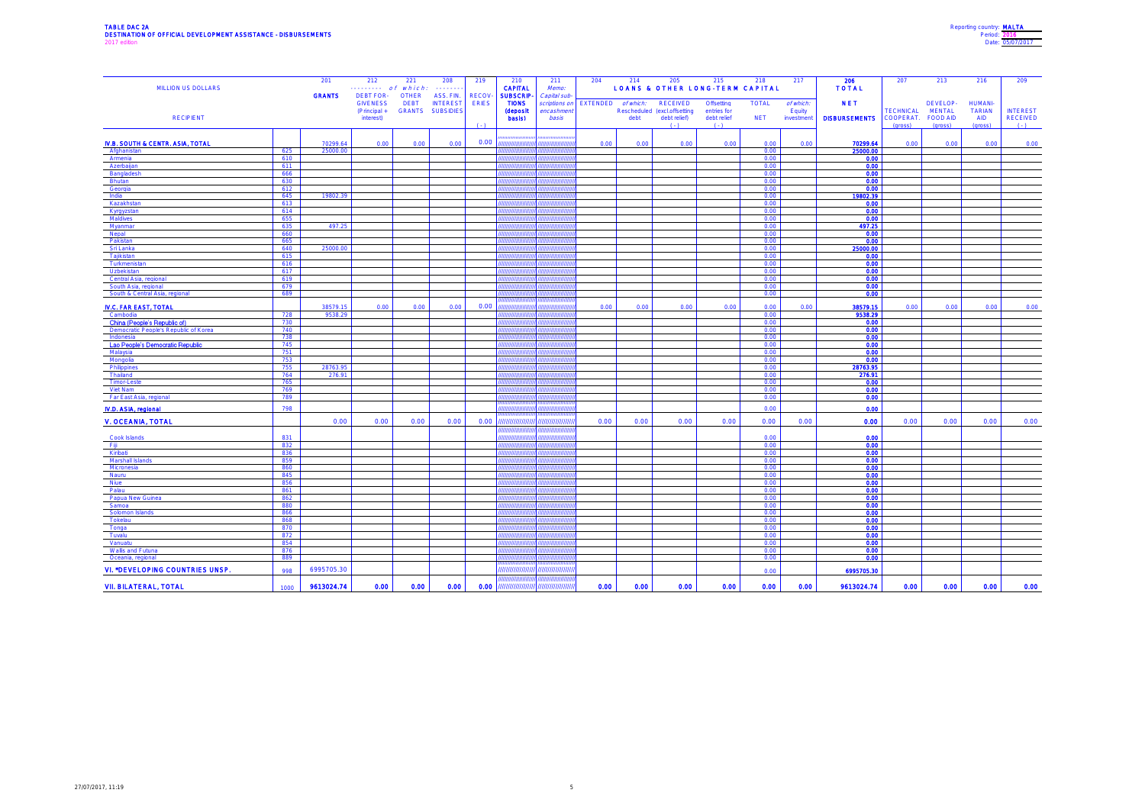| Reporting country: MALTA |
|--------------------------|
| Period: 2016             |
| Date: 05/07/2017         |
|                          |

| <b>MILLION US DOLLARS</b>                                             |            | 201           | 212<br>.         | 221<br>of which: | 208<br><b><i><u></u></i></b> | 219          | 210<br><b>CAPITAL</b>     | 211<br>Memo:  | 204                | 214  | 205                          | 215<br><b>LOANS &amp; OTHER LONG-TERM CAPITAL</b> | 218          | 217        | 206<br><b>TOTAL</b>       | 207                           | 213                              | 216                         | 209                                |
|-----------------------------------------------------------------------|------------|---------------|------------------|------------------|------------------------------|--------------|---------------------------|---------------|--------------------|------|------------------------------|---------------------------------------------------|--------------|------------|---------------------------|-------------------------------|----------------------------------|-----------------------------|------------------------------------|
|                                                                       |            | <b>GRANTS</b> | <b>DEBT FOR-</b> | <b>OTHER</b>     | ASS. FIN.                    | <b>RECOV</b> | <b>SUBSCRIP</b>           | Capital sub   |                    |      |                              |                                                   |              |            |                           |                               |                                  |                             |                                    |
|                                                                       |            |               | <b>GIVENESS</b>  | <b>DEBT</b>      | <b>INTEREST</b>              | <b>ERIES</b> | <b>TIONS</b>              | scriptions on | EXTENDED of which: |      | <b>RECEIVED</b>              | Offsetting                                        | <b>TOTAL</b> | of which:  | <b>NET</b>                |                               | DEVELOP-                         | <b>HUMANI-</b>              |                                    |
|                                                                       |            |               | (Principal +     |                  | GRANTS SUBSIDIES             |              | <b>(deposit</b><br>basis) | encashmen     |                    |      | Rescheduled (excl.offsetting | entries for                                       |              | Equity     | <b>DISBURSEMENTS</b>      | <b>TECHNICAL</b><br>COOPERAT. | <b>MENTAL</b><br><b>FOOD AID</b> | <b>TARIAN</b><br><b>AID</b> | <b>INTEREST</b><br><b>RECEIVED</b> |
| <b>RECIPIENT</b>                                                      |            |               | interest)        |                  |                              | (1)          |                           | basis         |                    | debt | debt relief)<br>$( - )$      | debt relief<br>$(-)$                              | <b>NET</b>   | investment |                           | (gross)                       | (gross)                          | (gross)                     | $( - )$                            |
|                                                                       |            |               |                  |                  |                              |              |                           |               |                    |      |                              |                                                   |              |            |                           |                               |                                  |                             |                                    |
| IV.B. SOUTH & CENTR. ASIA, TOTAL                                      |            | 70299.64      | 0.00             | 0.00             | 0.00                         | 0.00         | ,,,,,,,,,,,,              |               | 0.00               | 0.00 | 0.00                         | 0.00                                              | 0.00         | 0.00       | 70299.64                  | 0.00                          | 0.00                             | 0.00                        | 0.00                               |
| Afghanista                                                            | 625        | 25000.00      |                  |                  |                              |              |                           |               |                    |      |                              |                                                   | 0.00         |            | 25000.00                  |                               |                                  |                             |                                    |
| Armenia                                                               | 610        |               |                  |                  |                              |              |                           |               |                    |      |                              |                                                   | 0.00         |            | 0.00 <sub>1</sub>         |                               |                                  |                             |                                    |
| Azerbaijan<br>Bangladesh                                              | 611<br>666 |               |                  |                  |                              |              |                           |               |                    |      |                              |                                                   | 0.00<br>0.00 |            | 0.00<br>0.00              |                               |                                  |                             |                                    |
| <b>Bhutan</b>                                                         | 630        |               |                  |                  |                              |              |                           |               |                    |      |                              |                                                   | 0.00         |            | 0.00                      |                               |                                  |                             |                                    |
| Georgia                                                               | 612        |               |                  |                  |                              |              |                           |               |                    |      |                              |                                                   | 0.00         |            | 0.00                      |                               |                                  |                             |                                    |
| India                                                                 | 645        | 19802.39      |                  |                  |                              |              |                           |               |                    |      |                              |                                                   | 0.00         |            | 19802.39                  |                               |                                  |                             |                                    |
| Kazakhstar                                                            | 613<br>614 |               |                  |                  |                              |              |                           |               |                    |      |                              |                                                   | 0.00<br>0.00 |            | 0.00 <sub>1</sub><br>0.00 |                               |                                  |                             |                                    |
| Kyrgyzstan<br>Maldives                                                | 655        |               |                  |                  |                              |              |                           |               |                    |      |                              |                                                   | 0.00         |            | 0.00                      |                               |                                  |                             |                                    |
| Myanmar                                                               | 635        | 497.25        |                  |                  |                              |              |                           |               |                    |      |                              |                                                   | 0.00         |            | 497.25                    |                               |                                  |                             |                                    |
| Nepal                                                                 | 660        |               |                  |                  |                              |              |                           |               |                    |      |                              |                                                   | 0.00         |            | 0.00                      |                               |                                  |                             |                                    |
| Pakistan                                                              | 665        |               |                  |                  |                              |              |                           |               |                    |      |                              |                                                   | 0.00         |            | 0.00                      |                               |                                  |                             |                                    |
| Sri Lanka<br>Tajikistan                                               | 640<br>615 | 25000.00      |                  |                  |                              |              |                           |               |                    |      |                              |                                                   | 0.00<br>0.00 |            | 25000.00<br>0.00          |                               |                                  |                             |                                    |
| Turkmenista                                                           | 616        |               |                  |                  |                              |              | ,,,,,,,,,,,,              |               |                    |      |                              |                                                   | 0.00         |            | 0.00                      |                               |                                  |                             |                                    |
| Uzbekistan                                                            | 617        |               |                  |                  |                              |              |                           |               |                    |      |                              |                                                   | 0.00         |            | 0.00                      |                               |                                  |                             |                                    |
| Central Asia, regional                                                | 619        |               |                  |                  |                              |              |                           |               |                    |      |                              |                                                   | 0.00         |            | 0.00                      |                               |                                  |                             |                                    |
| South Asia, regional<br>South & Central Asia, regional                | 679<br>689 |               |                  |                  |                              |              |                           |               |                    |      |                              |                                                   | 0.00<br>0.00 |            | 0.00<br>0.00 <sub>1</sub> |                               |                                  |                             |                                    |
|                                                                       |            |               |                  |                  |                              |              |                           |               |                    |      |                              |                                                   |              |            |                           |                               |                                  |                             |                                    |
| <b>IV.C. FAR EAST, TOTAL</b>                                          |            | 38579.15      | 0.00             | 0.00             | 0.00                         | 0.00         |                           |               | 0.00               | 0.00 | 0.00                         | 0.00                                              | 0.00         | 0.00       | 38579.15                  | 0.00                          | 0.00                             | 0.00                        | 0.00                               |
| Cambodia                                                              | 728        | 9538.29       |                  |                  |                              |              |                           |               |                    |      |                              |                                                   | 0.00         |            | 9538.29                   |                               |                                  |                             |                                    |
| China (People's Republic of)<br>Democratic People's Republic of Korea | 730<br>740 |               |                  |                  |                              |              |                           |               |                    |      |                              |                                                   | 0.00<br>0.00 |            | 0.00<br>0.00              |                               |                                  |                             |                                    |
| Indonesia                                                             | 738        |               |                  |                  |                              |              |                           |               |                    |      |                              |                                                   | 0.00         |            | 0.00                      |                               |                                  |                             |                                    |
| Lao People's Democratic Republic                                      | 745        |               |                  |                  |                              |              |                           |               |                    |      |                              |                                                   | 0.00         |            | 0.00                      |                               |                                  |                             |                                    |
| Malaysia                                                              | 751        |               |                  |                  |                              |              |                           |               |                    |      |                              |                                                   | 0.00         |            | 0.00                      |                               |                                  |                             |                                    |
| Mongolia<br>Philippines                                               | 753<br>755 | 28763.95      |                  |                  |                              |              |                           |               |                    |      |                              |                                                   | 0.00<br>0.00 |            | 0.00<br>28763.95          |                               |                                  |                             |                                    |
| Thailand                                                              | 764        | 276.91        |                  |                  |                              |              | ,,,,,,,,,,,               |               |                    |      |                              |                                                   | 0.00         |            | 276.91                    |                               |                                  |                             |                                    |
| Timor-Leste                                                           | 765        |               |                  |                  |                              |              |                           |               |                    |      |                              |                                                   | 0.00         |            | 0.00                      |                               |                                  |                             |                                    |
| Viet Nam                                                              | 769        |               |                  |                  |                              |              |                           |               |                    |      |                              |                                                   | 0.00         |            | 0.00                      |                               |                                  |                             |                                    |
| Far East Asia, regional                                               | 789        |               |                  |                  |                              |              |                           |               |                    |      |                              |                                                   | 0.00         |            | 0.00                      |                               |                                  |                             |                                    |
| IV.D. ASIA, regional                                                  | 798        |               |                  |                  |                              |              | ,,,,,,,,,,,,,,,           |               |                    |      |                              |                                                   | 0.00         |            | 0.00                      |                               |                                  |                             |                                    |
| V. OCEANIA, TOTAL                                                     |            | 0.00          | 0.00             | 0.00             | 0.00                         | 0.00         | ,,,,,,,,,,,,,,            | ,,,,,,,,,,,,, | 0.00               | 0.00 | 0.00                         | 0.00                                              | 0.00         | 0.00       | 0.00                      | 0.00                          | 0.00                             | 0.00                        | 0.00                               |
|                                                                       |            |               |                  |                  |                              |              |                           |               |                    |      |                              |                                                   |              |            |                           |                               |                                  |                             |                                    |
| Cook Islands                                                          | 831        |               |                  |                  |                              |              |                           |               |                    |      |                              |                                                   | 0.00         |            | 0.00                      |                               |                                  |                             |                                    |
| - Fiji                                                                | 832<br>836 |               |                  |                  |                              |              |                           |               |                    |      |                              |                                                   | 0.00<br>0.00 |            | 0.00<br>0.00              |                               |                                  |                             |                                    |
| Kiribati<br>Marshall Islands                                          | 859        |               |                  |                  |                              |              |                           |               |                    |      |                              |                                                   | 0.00         |            | 0.00                      |                               |                                  |                             |                                    |
| Micronesia                                                            | 860        |               |                  |                  |                              |              |                           |               |                    |      |                              |                                                   | 0.00         |            | 0.00                      |                               |                                  |                             |                                    |
| Nauru                                                                 | 845        |               |                  |                  |                              |              |                           |               |                    |      |                              |                                                   | 0.00         |            | 0.00                      |                               |                                  |                             |                                    |
| Niue                                                                  | 856        |               |                  |                  |                              |              |                           |               |                    |      |                              |                                                   | 0.00<br>0.00 |            | 0.00<br>0.00              |                               |                                  |                             |                                    |
| Palau<br>Papua New Guinea                                             | 861<br>862 |               |                  |                  |                              |              |                           |               |                    |      |                              |                                                   | 0.00         |            | 0.00                      |                               |                                  |                             |                                    |
| Samoa                                                                 | 880        |               |                  |                  |                              |              |                           |               |                    |      |                              |                                                   | 0.00         |            | 0.00                      |                               |                                  |                             |                                    |
| Solomon Islands                                                       | 866        |               |                  |                  |                              |              |                           |               |                    |      |                              |                                                   | 0.00         |            | 0.00                      |                               |                                  |                             |                                    |
| Tokelau                                                               | 868        |               |                  |                  |                              |              |                           |               |                    |      |                              |                                                   | 0.00         |            | 0.00                      |                               |                                  |                             |                                    |
| Tonga<br>Tuvalu                                                       | 870<br>872 |               |                  |                  |                              |              |                           |               |                    |      |                              |                                                   | 0.00<br>0.00 |            | 0.00<br>0.00              |                               |                                  |                             |                                    |
| Vanuatu                                                               | 854        |               |                  |                  |                              |              |                           |               |                    |      |                              |                                                   | 0.00         |            | 0.00                      |                               |                                  |                             |                                    |
| Wallis and Futuna                                                     | 876        |               |                  |                  |                              |              |                           |               |                    |      |                              |                                                   | 0.00         |            | 0.00                      |                               |                                  |                             |                                    |
| Oceania, regional                                                     | 889        |               |                  |                  |                              |              |                           |               |                    |      |                              |                                                   | 0.00         |            | 0.00                      |                               |                                  |                             |                                    |
| VI. *DEVELOPING COUNTRIES UNSP.                                       | 998        | 6995705.30    |                  |                  |                              |              | ,,,,,,,,,,,,,,,,          | ,,,,,,,,,,,,  |                    |      |                              |                                                   | 0.00         |            | 6995705.30                |                               |                                  |                             |                                    |
| <b>VII. BILATERAL, TOTAL</b>                                          | 1000       | 9613024.74    | 0.00             | 0.00             | 0.00                         | 0.00         | ,,,,,,,,,,,,,,            |               | 0.00               | 0.00 | 0.00                         | 0.00                                              | 0.00         | 0.00       | 9613024.74                | 0.00                          | 0.00                             | 0.00                        | 0.00                               |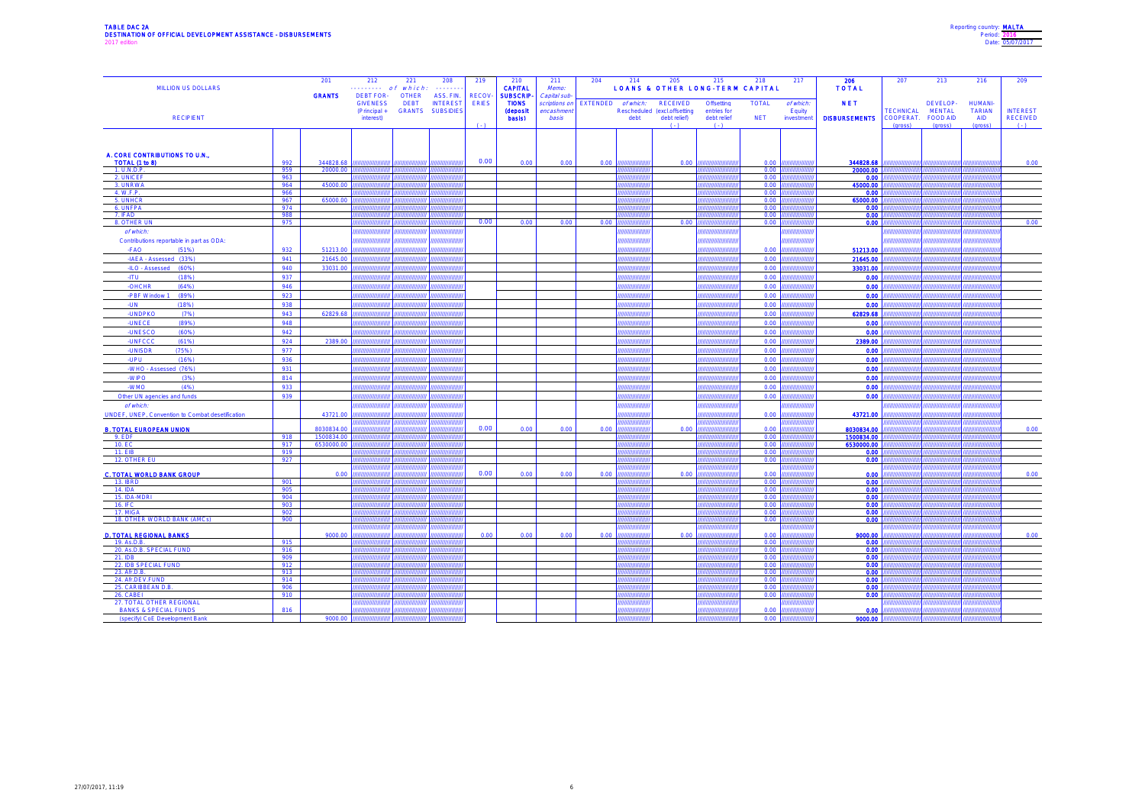| Reporting country: MALTA |                  |
|--------------------------|------------------|
|                          | Period: 2016     |
|                          | Date: 05/07/2017 |
|                          |                  |

| <b>MILLION US DOLLARS</b>                                          |            | 201<br><b>GRANTS</b> | 212<br>.<br><b>DEBT FOR-</b> | 221<br>of which.            | 208<br>.<br>ASS. FIN.        | 219<br><b>RECOV</b> | 210<br><b>CAPITAL</b>           | 211<br>Memo:                 | 204                | 214                              | 205<br><b>LOANS &amp; OTHER LONG-TERM CAPITAL</b> | 215                  | 218           | 217                           | 206<br><b>TOTAL</b>      | 207                  | 213                 | 216                                   | 209                          |
|--------------------------------------------------------------------|------------|----------------------|------------------------------|-----------------------------|------------------------------|---------------------|---------------------------------|------------------------------|--------------------|----------------------------------|---------------------------------------------------|----------------------|---------------|-------------------------------|--------------------------|----------------------|---------------------|---------------------------------------|------------------------------|
|                                                                    |            |                      | <b>GIVENESS</b>              | <b>OTHER</b><br><b>DEBT</b> | <b>INTEREST</b>              | <b>ERIES</b>        | <b>SUBSCRIP</b><br><b>TIONS</b> | Capital sub<br>scriptions or | EXTENDED of which: |                                  | <b>RECEIVED</b>                                   | Offsetting           | <b>TOTAL</b>  | of which:                     | <b>NET</b>               |                      | DEVELOP-            | <b>HUMANI-</b>                        |                              |
|                                                                    |            |                      | (Principal +                 |                             | <b>GRANTS SUBSIDIES</b>      |                     | <b>(deposit</b>                 | encashmen                    |                    |                                  | Rescheduled (excl.offsetting                      | entries for          |               | Equity                        |                          | <b>TECHNICAL</b>     | <b>MENTAL</b>       | <b>TARIAN</b>                         | <b>INTEREST</b>              |
| <b>RECIPIENT</b>                                                   |            |                      | interest)                    |                             |                              | $($ .)              | basis)                          | basis                        |                    | debt                             | debt relief)<br>$(-)$                             | debt relief<br>$(-)$ | <b>NET</b>    | investment                    | <b>DISBURSEMENTS</b>     | COOPERAT.<br>(gross) | FOOD AID<br>(gross) | <b>AID</b><br>(gross)                 | <b>RECEIVED</b><br>$(\cdot)$ |
|                                                                    |            |                      |                              |                             |                              |                     |                                 |                              |                    |                                  |                                                   |                      |               |                               |                          |                      |                     |                                       |                              |
|                                                                    |            |                      |                              |                             |                              |                     |                                 |                              |                    |                                  |                                                   |                      |               |                               |                          |                      |                     |                                       |                              |
| A. CORE CONTRIBUTIONS TO U.N.,                                     |            |                      |                              |                             |                              |                     |                                 |                              |                    |                                  |                                                   |                      |               |                               |                          |                      |                     |                                       |                              |
| TOTAL (1 to 8)                                                     | 992        | 344828.68            |                              |                             |                              | 0.00                | 0.00                            | 0.00                         | 0.00               |                                  | 0.00                                              |                      | 0.00          |                               | 344828.68                |                      |                     |                                       | 0.00                         |
| 1. U.N.D.P.<br>2. UNICEF                                           | 959<br>963 | 20000.00             |                              |                             |                              |                     |                                 |                              |                    |                                  |                                                   |                      | 0.00<br>0.00  |                               | 20000.00<br>0.00         |                      |                     |                                       |                              |
| 3. UNRWA                                                           | 964        | 45000.00             |                              |                             |                              |                     |                                 |                              |                    |                                  |                                                   |                      | 0.00          |                               | 45000.00                 |                      | ,,,,,,,,,,,,        |                                       |                              |
| 4. W.F.P.                                                          | 966        |                      |                              |                             |                              |                     |                                 |                              |                    |                                  |                                                   |                      | 0.00          |                               | 0.00                     |                      |                     |                                       |                              |
| 5. UNHCR<br>6. UNFPA                                               | 967<br>974 | 65000.00             |                              |                             |                              |                     |                                 |                              |                    |                                  |                                                   |                      | 0.00<br>0.00  |                               | 65000.00<br>0.00         |                      | ,,,,,,,,,,,,,,      | ,,,,,,,,,,,,,,,                       |                              |
| 7. IFAD                                                            | 988        |                      |                              |                             |                              |                     |                                 |                              |                    |                                  |                                                   |                      | 0.00          | ,,,,,,,,,                     | 0.00                     |                      | ,,,,,,,,,,,,,,,,,,, | ,,,,,,,,,,,,,,,,                      |                              |
| 8. OTHER UN                                                        | 975        |                      |                              |                             |                              | 0.00                | 0.00                            | 0.00                         | 0.00               |                                  | 0.00                                              |                      | 0.00          |                               | 0.00                     |                      |                     |                                       | 0.00                         |
| of which:                                                          |            |                      |                              |                             |                              |                     |                                 |                              |                    |                                  |                                                   |                      |               |                               |                          |                      |                     |                                       |                              |
| Contributions reportable in part as ODA:                           |            |                      |                              |                             |                              |                     |                                 |                              |                    |                                  |                                                   |                      |               |                               |                          |                      |                     |                                       |                              |
| -FAO<br>(51%)                                                      | 932        | 51213.00             |                              |                             |                              |                     |                                 |                              |                    |                                  |                                                   |                      | 0.00          |                               | 51213.00                 |                      | ,,,,,,,,            |                                       |                              |
| -IAEA - Assessed (33%)                                             | 941        | 21645.00 //          | ,,,,,,,,,,,,,,,,,,,          | ,,,,,,,,,,,,,,,,            | ,,,,,,,,,,,,,<br>,,,,,,,,,,, |                     |                                 |                              |                    | ,,,,,,,,,,,,,,<br>,,,,,,,,,,,,,, |                                                   | ,,,,,,,,,,,,,,,,,,,, | 0.00          | ,,,,,,,,,,,,,<br>,,,,,,,,,,,, | 21645.00                 | ,,,,,,,,,,,,,,       | ,,,,,,,,,,,,,,,     | ,,,,,,,,,,,,,,,,,<br>,,,,,,,,,,,,,,,, |                              |
| -ILO - Assessed (60%)<br>-ITU                                      | 940<br>937 | 33031.00             |                              | ,,,,,,,,,,,,,               | ,,,,,,,,,,,                  |                     |                                 |                              |                    | ,,,,,,,,,,,,,                    |                                                   | ,,,,,,,,,,,,,,,,,    | 0.00<br>0.00  | ,,,,,,,,,,,,,                 | 33031.00<br>0.00         | ,,,,,,,,,,           | ,,,,,,,,,,,,,,,,,   | ,,,,,,,,,,,,,,,,                      |                              |
| (18%)<br>OHCHR<br>(64%)                                            | 946        |                      |                              |                             |                              |                     |                                 |                              |                    | <i>mmmn</i>                      |                                                   |                      | 0.00          | <i>mmu</i>                    | 0.00                     |                      | ,,,,,,,,,,,,        | <i>mmmmn</i>                          |                              |
| -PBF Window 1<br>(89%)                                             | 923        |                      | ,,,,,,,,,,,,,,,,,,           | ,,,,,,,,,,,,,,              | ,,,,,,,,,,,,                 |                     |                                 |                              |                    | ,,,,,,,,,,,,,,,                  |                                                   | ,,,,,,,,,,,,,,,,,    | 0.00          | ,,,,,,,,,,,,,                 | 0.00                     | ,,,,,,,,,,           | ,,,,,,,,,,,,,,,,,   | ,,,,,,,,,,,,,,,,,                     |                              |
| UN.<br>(18%)                                                       | 938        |                      |                              |                             |                              |                     |                                 |                              |                    | ,,,,,,,,,,,,,,                   |                                                   |                      | 0.00          | ,,,,,,,,,,,,                  | 0.00                     |                      |                     | <i>mmmmn</i>                          |                              |
| -UNDPKO<br>(7%)                                                    | 943        | 62829.68             | 7 <i>111111111111111</i>     | ,,,,,,,,,,,,,               | ,,,,,,,,,,                   |                     |                                 |                              |                    | 7777777777777                    |                                                   | ,,,,,,,,,,,,,,,,,,   | 0.00          | ,,,,,,,,,,,,,,                | 62829.68                 | ,,,,,,,,,,           | ,,,,,,,,,,,,,,,,    | ,,,,,,,,,,,,,,,,,                     |                              |
| UNECE<br>(89%)                                                     | 948        |                      |                              |                             |                              |                     |                                 |                              |                    | ,,,,,,,,,,,,,,                   |                                                   |                      | 0.00          | <i>mmm</i>                    | 0.00                     |                      | umumn               | ,,,,,,,,,,,,,,,                       |                              |
| -UNESCO<br>(60%)                                                   | 942        |                      | ,,,,,,,,,,,,,,,,             | ,,,,,,,,,,,,,               | ,,,,,,,,,,,,                 |                     |                                 |                              |                    | ,,,,,,,,,,,,,,,                  |                                                   | ,,,,,,,,,,,,,,,,,,   | 0.00          | ,,,,,,,,,,,,,                 | 0.00                     |                      |                     | ,,,,,,,,,,,,,,,,                      |                              |
| <b>UNFCCC</b><br>(61%)                                             | 924        | 2389.00              |                              |                             |                              |                     |                                 |                              |                    | ,,,,,,,,,,,,                     |                                                   |                      | 0.00          | ,,,,,,,,,                     | 2389.00                  |                      |                     | ,,,,,,,,,,,,                          |                              |
| -UNISDR<br>(75%)                                                   | 977        |                      | 77777777777777777            |                             |                              |                     |                                 |                              |                    | ,,,,,,,,,,,,,,                   |                                                   | ,,,,,,,,,,,,,,       | 0.00          | ,,,,,,,,,,,,,                 | 0.00                     |                      | ,,,,,,,,,,,,,,,     | ,,,,,,,,,,,,,,,                       |                              |
| UPU<br>(16%)                                                       | 936        |                      |                              |                             |                              |                     |                                 |                              |                    | <i><b>HHHHH</b></i>              |                                                   |                      | 0.00          | ,,,,,,,                       | 0.00                     |                      | ,,,,,,,,,,          | ,,,,,,,,,,,,,                         |                              |
| -WHO - Assessed (76%)                                              | 931        |                      | ,,,,,,,,,,,,,,,              |                             |                              |                     |                                 |                              |                    | ,,,,,,,,,,,,                     |                                                   |                      | 0.00          | ,,,,,,,,,,                    | 0.00                     |                      | ,,,,,,,,,,,,,,,     | ,,,,,,,,,,,,,,,                       |                              |
| -WIPO<br>(3%)                                                      | 814        |                      |                              |                             |                              |                     |                                 |                              |                    |                                  |                                                   |                      | 0.00          |                               | 0.00                     |                      |                     |                                       |                              |
| -WMO<br>(4% )                                                      | 933        |                      |                              |                             |                              |                     |                                 |                              |                    |                                  |                                                   |                      | 0.00          | ,,,,,,,,,                     | 0.00                     |                      | ,,,,,,,,,,,,,       | ,,,,,,,,,,,,,                         |                              |
| Other UN agencies and funds                                        | 939        |                      |                              |                             |                              |                     |                                 |                              |                    | <i>munun</i>                     |                                                   |                      | 0.00          | umun                          | 0.00                     |                      | ,,,,,,,,,,,,,,,     | ,,,,,,,,,,,,,,,                       |                              |
| of which:                                                          |            |                      |                              |                             |                              |                     |                                 |                              |                    |                                  |                                                   |                      |               |                               |                          |                      |                     |                                       |                              |
| UNDEF, UNEP, Convention to Combat desetification                   |            | 43721.00             |                              |                             |                              |                     |                                 |                              |                    |                                  |                                                   |                      | 0.00          |                               | 43721.00                 |                      |                     |                                       |                              |
| <b>B. TOTAL EUROPEAN UNION</b>                                     |            | 8030834.00           |                              |                             |                              | 0.00                | 0.00                            | 0.00                         | 0.00               |                                  | 0.00                                              |                      | 0.00          |                               | 8030834.00               |                      |                     |                                       | 0.00                         |
| 9. EDF                                                             | 918        | 1500834.00           |                              |                             |                              |                     |                                 |                              |                    |                                  |                                                   |                      | 0.00          |                               | 1500834.00               |                      |                     |                                       |                              |
| 10. EC<br>11. EIB                                                  | 917<br>919 | 6530000.00           |                              |                             |                              |                     |                                 |                              |                    |                                  |                                                   |                      | 0.00<br>0.00  |                               | 6530000.00<br>0.00       |                      |                     |                                       |                              |
| 12. OTHER EU                                                       | 927        |                      |                              |                             |                              |                     |                                 |                              |                    |                                  |                                                   |                      | 0.00          |                               | 0.00                     |                      |                     |                                       |                              |
|                                                                    |            |                      |                              |                             |                              |                     |                                 |                              |                    |                                  |                                                   |                      |               |                               |                          |                      |                     |                                       |                              |
| <b>C. TOTAL WORLD BANK GROUP</b><br>13. IBRD                       | 901        | 0.00                 |                              |                             |                              | 0.00                | 0.00                            | 0.00                         | 0.00               |                                  | 0.00                                              |                      | 0.00<br>0.00  | ,,,,,,                        | 0.00<br>0.00             |                      | ,,,,,,,,            | ,,,,,,,,,,,<br>,,,,,,,,,,,,,          | 0.00                         |
| 14. IDA                                                            | 905        |                      |                              |                             |                              |                     |                                 |                              |                    |                                  |                                                   |                      | 0.00          | ,,,,,,,,                      | 0.00                     |                      | ,,,,,,,,,,          | ,,,,,,,,,,,,,                         |                              |
| 15. IDA-MDRI                                                       | 904        |                      |                              |                             |                              |                     |                                 |                              |                    |                                  |                                                   |                      | 0.00          | ,,,,,,,,                      | 0.00                     |                      | ,,,,,,,,,,,,,       | ,,,,,,,,,,,,,,                        |                              |
| 16. IFC<br>17. MIGA                                                | 903<br>902 |                      |                              |                             |                              |                     |                                 |                              |                    |                                  |                                                   |                      | 0.00<br>0.00  | ,,,,,,,,,                     | 0.00<br>0.00             |                      | ,,,,,,,,,,,,,,,,,,  | ,,,,,,,,,,,,,,,                       |                              |
| 18. OTHER WORLD BANK (AMCs)                                        | 900        |                      |                              |                             |                              |                     |                                 |                              |                    |                                  |                                                   |                      | 0.00          |                               | 0.00                     |                      |                     |                                       |                              |
|                                                                    |            |                      |                              |                             |                              |                     |                                 |                              |                    |                                  |                                                   |                      |               |                               |                          |                      |                     |                                       |                              |
| <b>D. TOTAL REGIONAL BANKS</b>                                     |            | 9000.00              |                              |                             |                              | 0.00                | 0.00                            | 0.00                         | 0.00               |                                  | 0.00                                              |                      | 0.00<br>0.00  |                               | 9000.00                  |                      |                     |                                       | 0.00                         |
| 19. As.D.B.<br>20. As.D.B. SPECIAL FUND                            | 915<br>916 |                      |                              |                             |                              |                     |                                 |                              |                    |                                  |                                                   |                      | 0.00          |                               | 0.00<br>0.00             |                      |                     |                                       |                              |
| 21. IDB                                                            | 909        |                      |                              |                             |                              |                     |                                 |                              |                    |                                  |                                                   |                      | 0.00          |                               | 0.00                     |                      |                     |                                       |                              |
| 22. IDB SPECIAL FUND                                               | 912        |                      |                              |                             |                              |                     |                                 |                              |                    |                                  |                                                   |                      | 0.00          |                               | 0.00                     |                      |                     |                                       |                              |
| 23. Afr.D.B.<br>24. Afr.DEV.FUND                                   | 913<br>914 |                      |                              |                             |                              |                     |                                 |                              |                    |                                  |                                                   |                      | 0.00<br>0.00  |                               | 0.00<br>0.00             |                      |                     |                                       |                              |
| 25. CARIBBEAN D.B                                                  | 906        |                      |                              |                             |                              |                     |                                 |                              |                    |                                  |                                                   |                      | 0.00          |                               | 0.00                     |                      |                     |                                       |                              |
| 26. CABEI                                                          | 910        |                      |                              |                             |                              |                     |                                 |                              |                    |                                  |                                                   |                      | 0.00          |                               | 0.00                     |                      |                     |                                       |                              |
| 27. TOTAL OTHER REGIONAL                                           |            |                      |                              |                             |                              |                     |                                 |                              |                    |                                  |                                                   |                      |               |                               |                          |                      |                     |                                       |                              |
| <b>BANKS &amp; SPECIAL FUNDS</b><br>(snacify) CoE Development Rani | 816        | 9000.00              |                              |                             |                              |                     |                                 |                              |                    |                                  |                                                   |                      | 0.00<br>0.001 |                               | 0.00<br><b>00.000 OD</b> |                      |                     |                                       |                              |